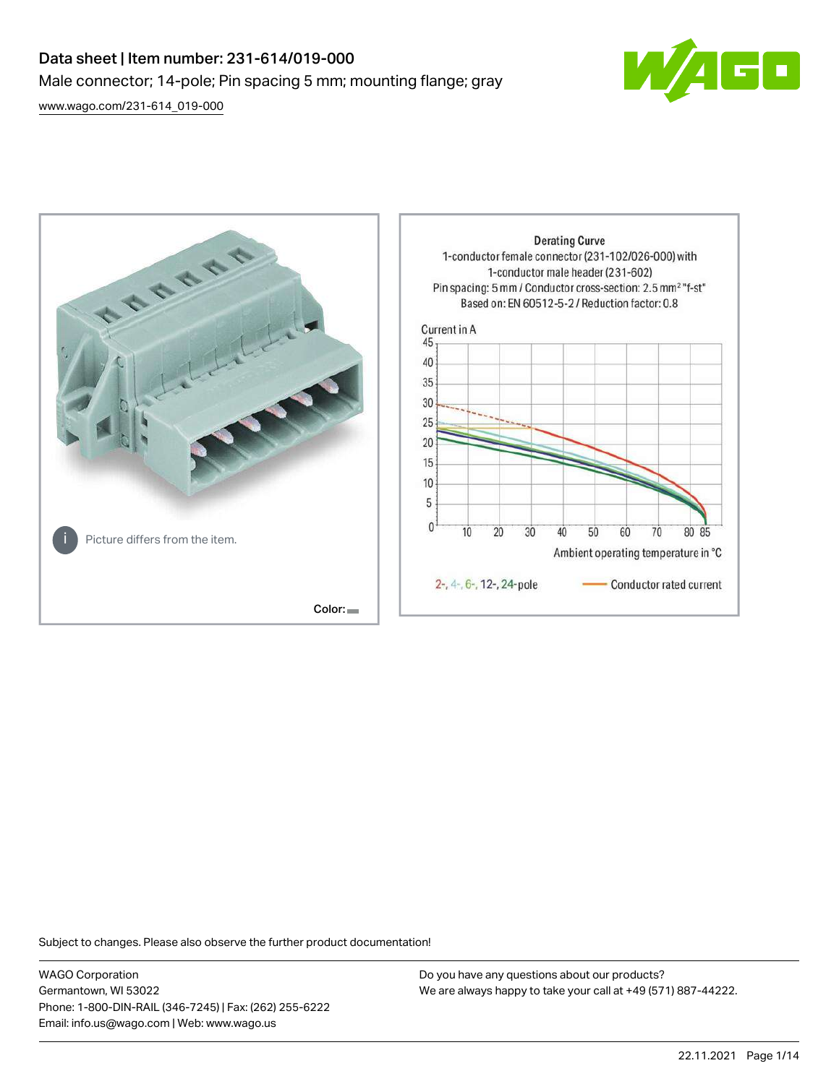# Data sheet | Item number: 231-614/019-000 Male connector; 14-pole; Pin spacing 5 mm; mounting flange; gray

[www.wago.com/231-614\\_019-000](http://www.wago.com/231-614_019-000)





Subject to changes. Please also observe the further product documentation!

WAGO Corporation Germantown, WI 53022 Phone: 1-800-DIN-RAIL (346-7245) | Fax: (262) 255-6222 Email: info.us@wago.com | Web: www.wago.us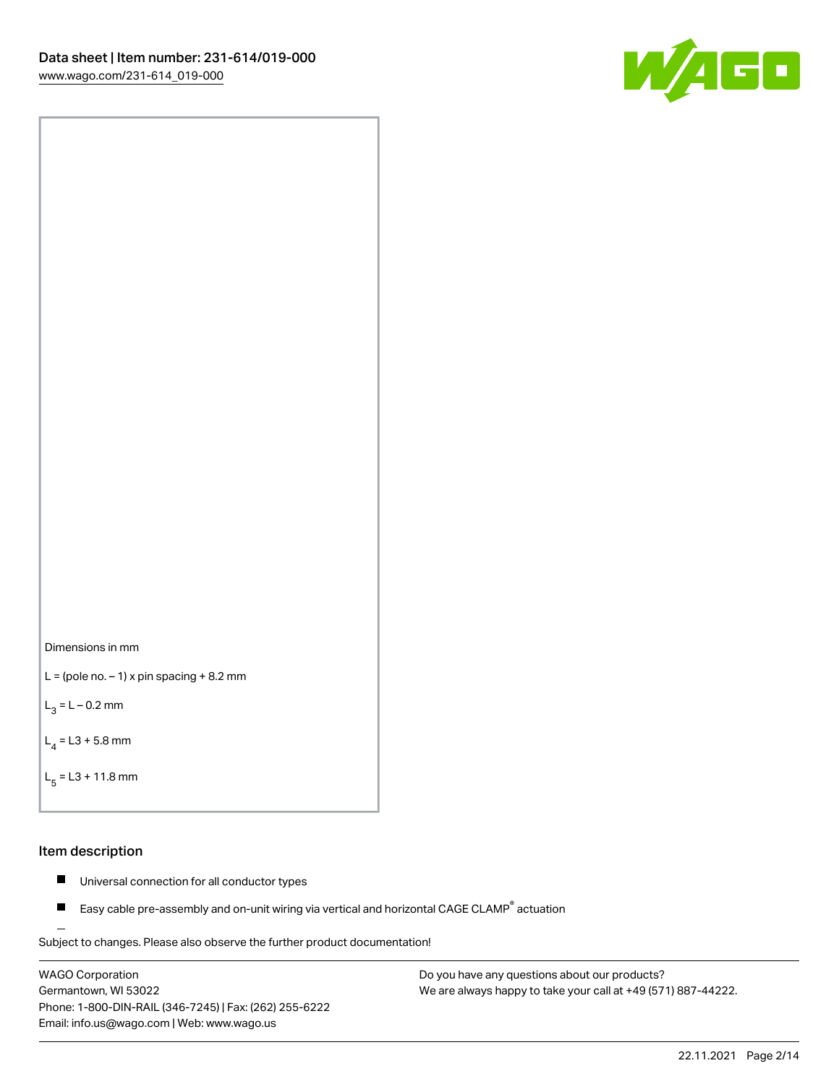



```
L = (pole no. -1) x pin spacing +8.2 mm
```
 $L_3 = L - 0.2$  mm

```
L_4 = L3 + 5.8 mm
```

```
L_{\rm g} = L3 + 11.8 mm
```
#### Item description

- $\blacksquare$ Universal connection for all conductor types
- Easy cable pre-assembly and on-unit wiring via vertical and horizontal CAGE CLAMP<sup>®</sup> actuation  $\blacksquare$

Subject to changes. Please also observe the further product documentation! For wire-to-wire and board-to-wire connections

WAGO Corporation Germantown, WI 53022 Phone: 1-800-DIN-RAIL (346-7245) | Fax: (262) 255-6222 Email: info.us@wago.com | Web: www.wago.us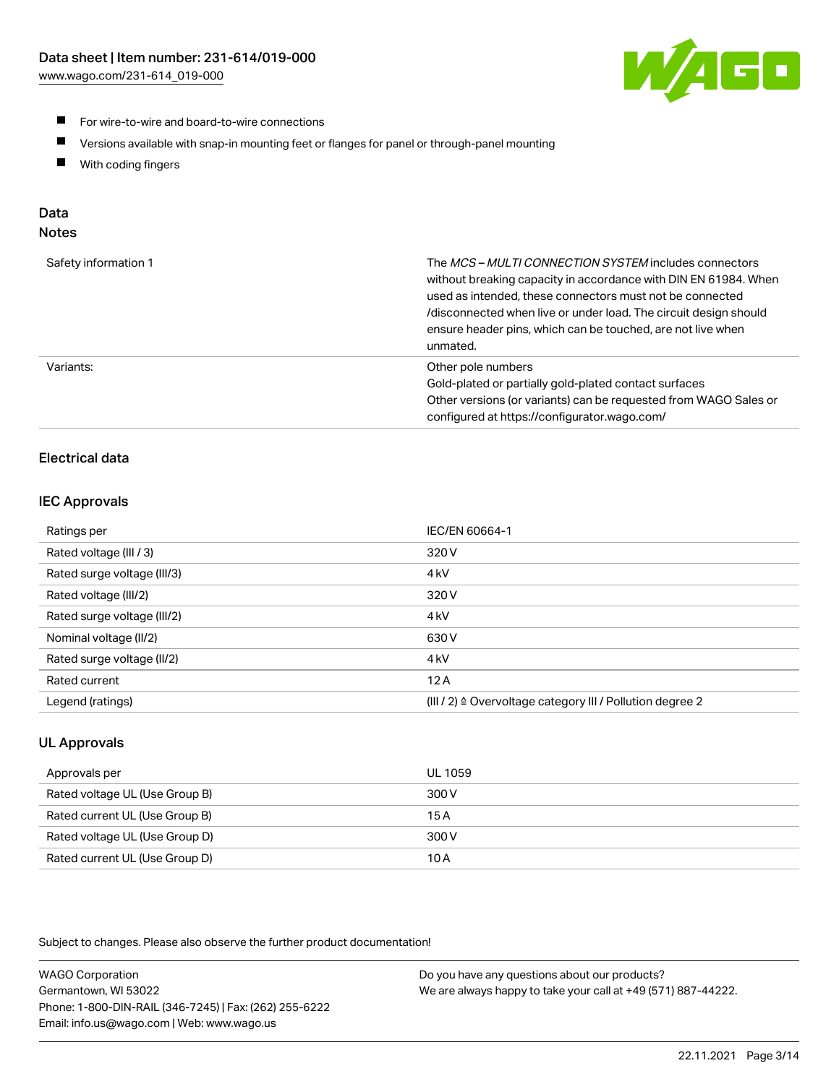

- For wire-to-wire and board-to-wire connections
- $\blacksquare$ Versions available with snap-in mounting feet or flanges for panel or through-panel mounting
- $\blacksquare$ With coding fingers

# Data

# Notes

| Safety information 1 | The MCS-MULTI CONNECTION SYSTEM includes connectors<br>without breaking capacity in accordance with DIN EN 61984. When<br>used as intended, these connectors must not be connected<br>/disconnected when live or under load. The circuit design should<br>ensure header pins, which can be touched, are not live when<br>unmated. |
|----------------------|-----------------------------------------------------------------------------------------------------------------------------------------------------------------------------------------------------------------------------------------------------------------------------------------------------------------------------------|
| Variants:            | Other pole numbers<br>Gold-plated or partially gold-plated contact surfaces<br>Other versions (or variants) can be requested from WAGO Sales or<br>configured at https://configurator.wago.com/                                                                                                                                   |

# Electrical data

# IEC Approvals

| Ratings per                 | IEC/EN 60664-1                                                        |
|-----------------------------|-----------------------------------------------------------------------|
| Rated voltage (III / 3)     | 320 V                                                                 |
| Rated surge voltage (III/3) | 4 <sub>k</sub> V                                                      |
| Rated voltage (III/2)       | 320 V                                                                 |
| Rated surge voltage (III/2) | 4 <sub>k</sub> V                                                      |
| Nominal voltage (II/2)      | 630 V                                                                 |
| Rated surge voltage (II/2)  | 4 <sub>k</sub> V                                                      |
| Rated current               | 12A                                                                   |
| Legend (ratings)            | $(III / 2)$ $\triangle$ Overvoltage category III / Pollution degree 2 |

# UL Approvals

| Approvals per                  | UL 1059 |
|--------------------------------|---------|
| Rated voltage UL (Use Group B) | 300 V   |
| Rated current UL (Use Group B) | 15 A    |
| Rated voltage UL (Use Group D) | 300 V   |
| Rated current UL (Use Group D) | 10 A    |

Subject to changes. Please also observe the further product documentation!

| <b>WAGO Corporation</b>                                | Do you have any questions about our products?                 |
|--------------------------------------------------------|---------------------------------------------------------------|
| Germantown, WI 53022                                   | We are always happy to take your call at +49 (571) 887-44222. |
| Phone: 1-800-DIN-RAIL (346-7245)   Fax: (262) 255-6222 |                                                               |
| Email: info.us@wago.com   Web: www.wago.us             |                                                               |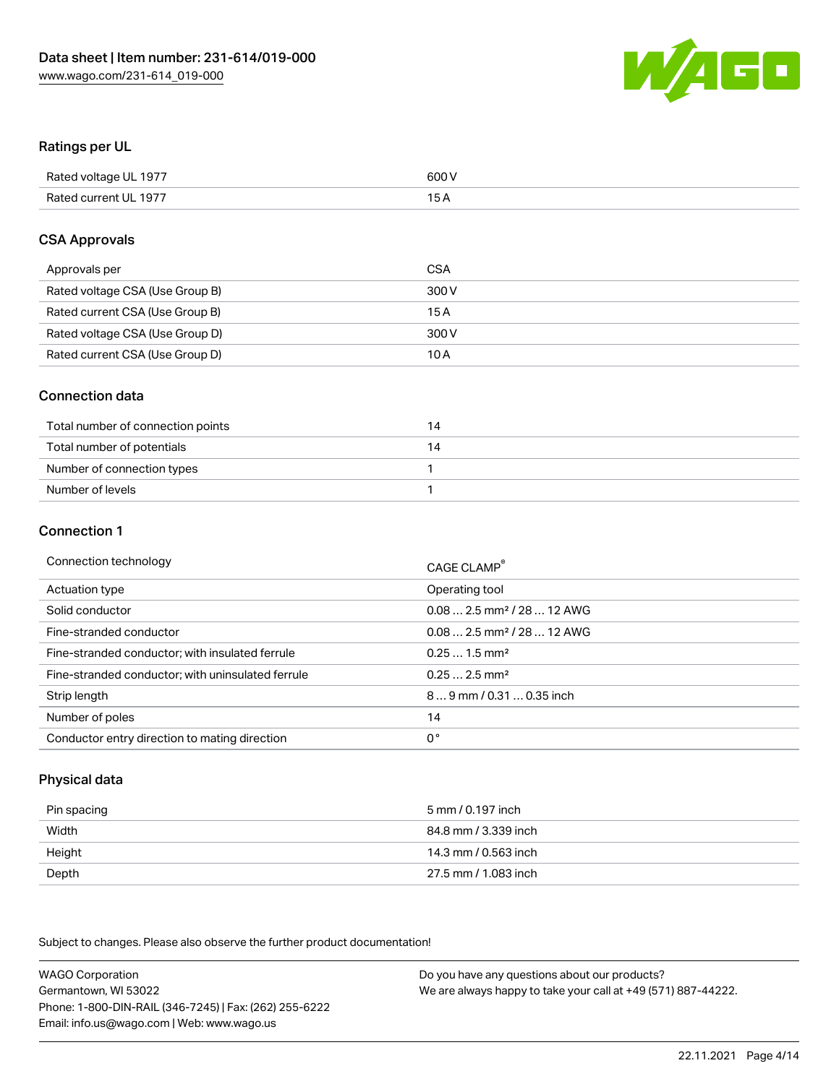

### Ratings per UL

| Rated voltage UL 1977 | 600 V |
|-----------------------|-------|
| Rated current UL 1977 | 1 E   |

### CSA Approvals

| Approvals per                   | CSA   |
|---------------------------------|-------|
| Rated voltage CSA (Use Group B) | 300 V |
| Rated current CSA (Use Group B) | 15 A  |
| Rated voltage CSA (Use Group D) | 300 V |
| Rated current CSA (Use Group D) | 10 A  |

### Connection data

| Total number of connection points | $\overline{4}$ |
|-----------------------------------|----------------|
| Total number of potentials        | 14             |
| Number of connection types        |                |
| Number of levels                  |                |

#### Connection 1

| Connection technology                             | CAGE CLAMP <sup>®</sup>                 |
|---------------------------------------------------|-----------------------------------------|
| Actuation type                                    | Operating tool                          |
| Solid conductor                                   | $0.08$ 2.5 mm <sup>2</sup> / 28  12 AWG |
| Fine-stranded conductor                           | $0.082.5$ mm <sup>2</sup> / 28  12 AWG  |
| Fine-stranded conductor; with insulated ferrule   | $0.251.5$ mm <sup>2</sup>               |
| Fine-stranded conductor; with uninsulated ferrule | $0.252.5$ mm <sup>2</sup>               |
| Strip length                                      | 89 mm / 0.31  0.35 inch                 |
| Number of poles                                   | 14                                      |
| Conductor entry direction to mating direction     | 0°                                      |

# Physical data

| Pin spacing | 5 mm / 0.197 inch    |
|-------------|----------------------|
| Width       | 84.8 mm / 3.339 inch |
| Height      | 14.3 mm / 0.563 inch |
| Depth       | 27.5 mm / 1.083 inch |

Subject to changes. Please also observe the further product documentation!

WAGO Corporation Germantown, WI 53022 Phone: 1-800-DIN-RAIL (346-7245) | Fax: (262) 255-6222 Email: info.us@wago.com | Web: www.wago.us Do you have any questions about our products? We are always happy to take your call at +49 (571) 887-44222.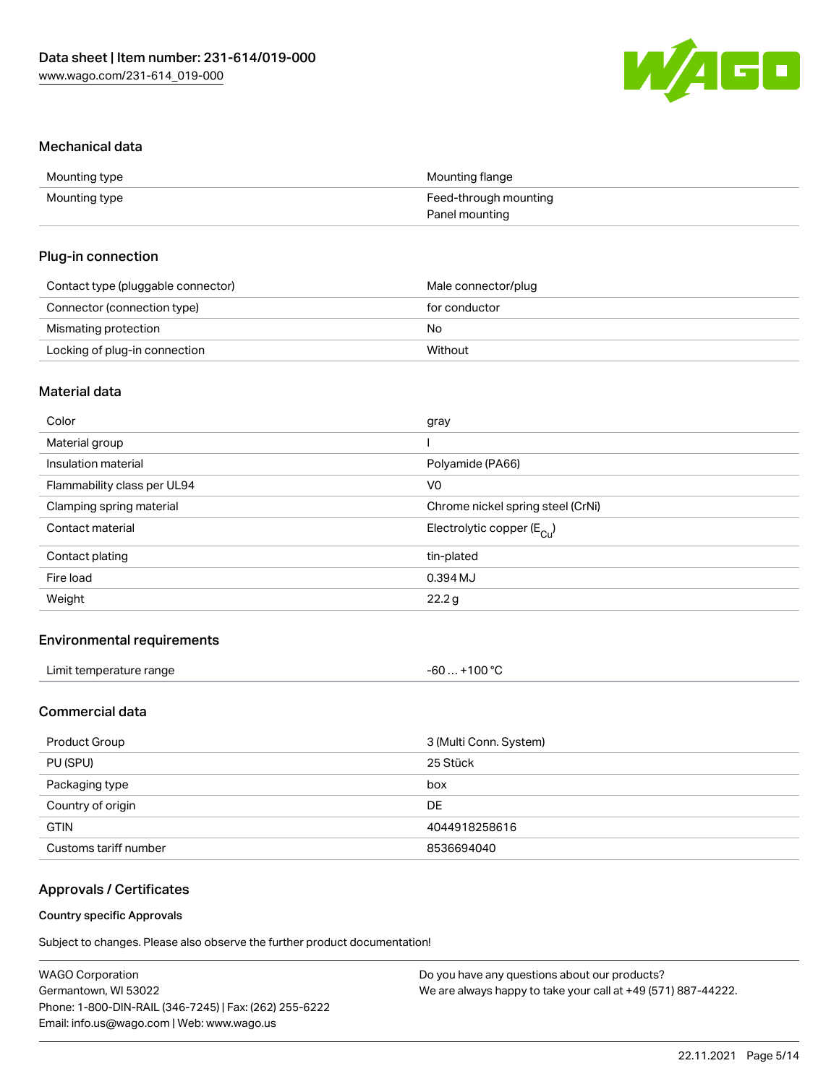

#### Mechanical data

| Mounting type | Mounting flange       |
|---------------|-----------------------|
| Mounting type | Feed-through mounting |
|               | Panel mounting        |

#### Plug-in connection

| Contact type (pluggable connector) | Male connector/plug |
|------------------------------------|---------------------|
| Connector (connection type)        | for conductor       |
| Mismating protection               | No                  |
| Locking of plug-in connection      | Without             |

# Material data

| Color                       | gray                                  |
|-----------------------------|---------------------------------------|
| Material group              |                                       |
| Insulation material         | Polyamide (PA66)                      |
| Flammability class per UL94 | V <sub>0</sub>                        |
| Clamping spring material    | Chrome nickel spring steel (CrNi)     |
| Contact material            | Electrolytic copper $(E_{\text{Cl}})$ |
| Contact plating             | tin-plated                            |
| Fire load                   | 0.394 MJ                              |
| Weight                      | 22.2g                                 |
|                             |                                       |

# Environmental requirements

| Limit temperature range | +100 °C<br>. - 60. |  |
|-------------------------|--------------------|--|
|-------------------------|--------------------|--|

# Commercial data

| Product Group         | 3 (Multi Conn. System) |
|-----------------------|------------------------|
| PU (SPU)              | 25 Stück               |
| Packaging type        | box                    |
| Country of origin     | DE                     |
| <b>GTIN</b>           | 4044918258616          |
| Customs tariff number | 8536694040             |

# Approvals / Certificates

#### Country specific Approvals

Subject to changes. Please also observe the further product documentation!

| <b>WAGO Corporation</b>                                | Do you have any questions about our products?                 |
|--------------------------------------------------------|---------------------------------------------------------------|
| Germantown, WI 53022                                   | We are always happy to take your call at +49 (571) 887-44222. |
| Phone: 1-800-DIN-RAIL (346-7245)   Fax: (262) 255-6222 |                                                               |
| Email: info.us@wago.com   Web: www.wago.us             |                                                               |
|                                                        |                                                               |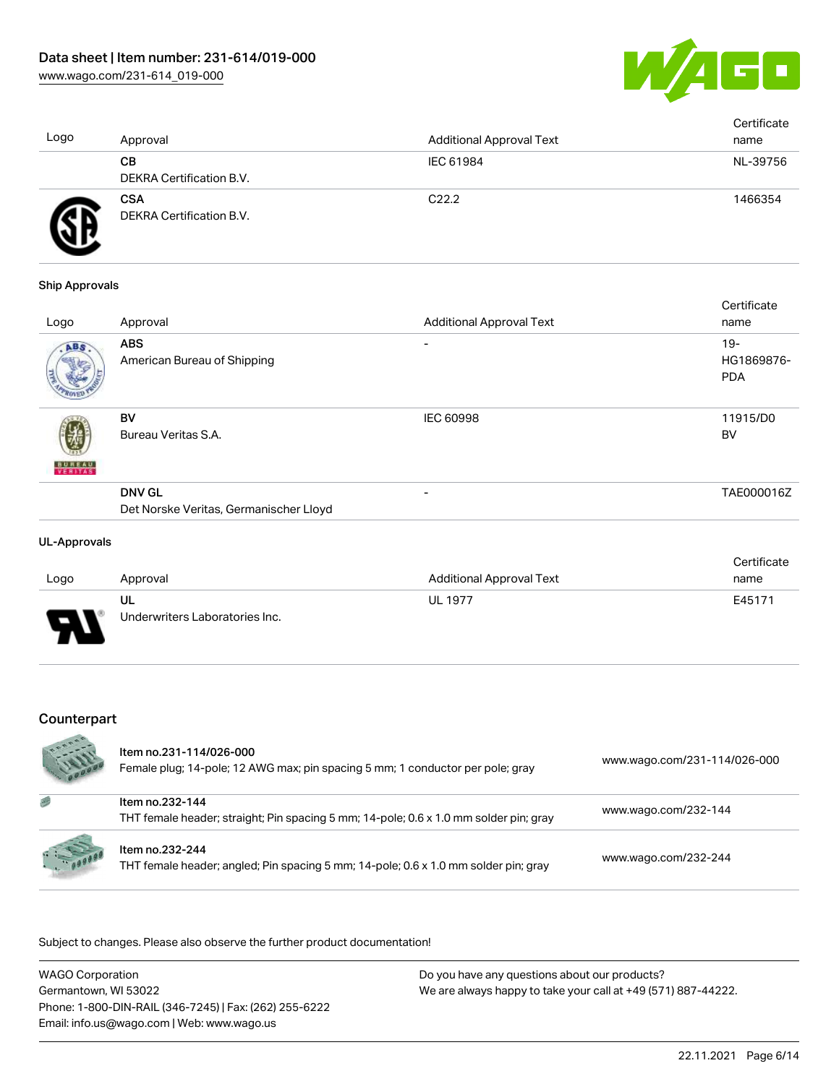

| Logo | Approval                               | <b>Additional Approval Text</b> | Certificate<br>name |
|------|----------------------------------------|---------------------------------|---------------------|
|      | CВ<br>DEKRA Certification B.V.         | IEC 61984                       | NL-39756            |
| Ð    | <b>CSA</b><br>DEKRA Certification B.V. | C <sub>22.2</sub>               | 1466354             |

#### Ship Approvals

|                          |                                        |                                 | Certificate |
|--------------------------|----------------------------------------|---------------------------------|-------------|
| Logo                     | Approval                               | <b>Additional Approval Text</b> | name        |
| ABS                      | <b>ABS</b>                             | -                               | $19 -$      |
|                          | American Bureau of Shipping            |                                 | HG1869876-  |
|                          |                                        |                                 | <b>PDA</b>  |
|                          | BV                                     | <b>IEC 60998</b>                | 11915/D0    |
|                          | Bureau Veritas S.A.                    |                                 | BV          |
| <b>BUNEAU</b><br>VERITAS |                                        |                                 |             |
|                          | <b>DNV GL</b>                          | -                               | TAE000016Z  |
|                          | Det Norske Veritas, Germanischer Lloyd |                                 |             |
|                          |                                        |                                 |             |

#### UL-Approvals

|      |                                |                          | Certificate |
|------|--------------------------------|--------------------------|-------------|
| Logo | Approval                       | Additional Approval Text | name        |
|      | UL                             | <b>UL 1977</b>           | E45171      |
| J    | Underwriters Laboratories Inc. |                          |             |

# Counterpart

|          | Item no.231-114/026-000<br>Female plug; 14-pole; 12 AWG max; pin spacing 5 mm; 1 conductor per pole; gray | www.wago.com/231-114/026-000 |
|----------|-----------------------------------------------------------------------------------------------------------|------------------------------|
| 感        | Item no.232-144<br>THT female header; straight; Pin spacing 5 mm; 14-pole; 0.6 x 1.0 mm solder pin; gray  | www.wago.com/232-144         |
| 1.100000 | Item no.232-244<br>THT female header; angled; Pin spacing 5 mm; 14-pole; 0.6 x 1.0 mm solder pin; gray    | www.wago.com/232-244         |

.<br>Subject to changes. Please also observe the further product documentation!

| <b>WAGO Corporation</b>                                | Do you have any questions about our products?                 |
|--------------------------------------------------------|---------------------------------------------------------------|
| Germantown, WI 53022                                   | We are always happy to take your call at +49 (571) 887-44222. |
| Phone: 1-800-DIN-RAIL (346-7245)   Fax: (262) 255-6222 |                                                               |
| Email: info.us@wago.com   Web: www.wago.us             |                                                               |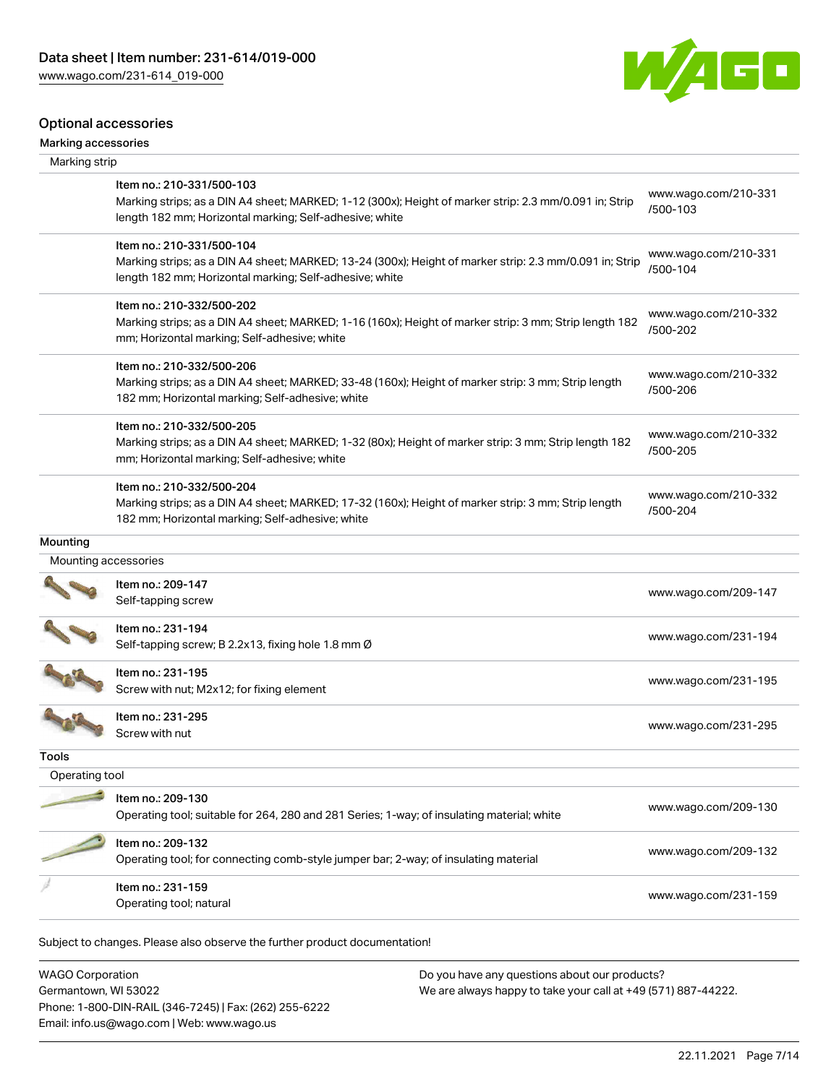

# Optional accessories

| Marking accessories |
|---------------------|
|---------------------|

| Marking strip        |                                                                                                                                                                                                 |                                  |
|----------------------|-------------------------------------------------------------------------------------------------------------------------------------------------------------------------------------------------|----------------------------------|
|                      | Item no.: 210-331/500-103<br>Marking strips; as a DIN A4 sheet; MARKED; 1-12 (300x); Height of marker strip: 2.3 mm/0.091 in; Strip<br>length 182 mm; Horizontal marking; Self-adhesive; white  | www.wago.com/210-331<br>/500-103 |
|                      | Item no.: 210-331/500-104<br>Marking strips; as a DIN A4 sheet; MARKED; 13-24 (300x); Height of marker strip: 2.3 mm/0.091 in; Strip<br>length 182 mm; Horizontal marking; Self-adhesive; white | www.wago.com/210-331<br>/500-104 |
|                      | Item no.: 210-332/500-202<br>Marking strips; as a DIN A4 sheet; MARKED; 1-16 (160x); Height of marker strip: 3 mm; Strip length 182<br>mm; Horizontal marking; Self-adhesive; white             | www.wago.com/210-332<br>/500-202 |
|                      | Item no.: 210-332/500-206<br>Marking strips; as a DIN A4 sheet; MARKED; 33-48 (160x); Height of marker strip: 3 mm; Strip length<br>182 mm; Horizontal marking; Self-adhesive; white            | www.wago.com/210-332<br>/500-206 |
|                      | Item no.: 210-332/500-205<br>Marking strips; as a DIN A4 sheet; MARKED; 1-32 (80x); Height of marker strip: 3 mm; Strip length 182<br>mm; Horizontal marking; Self-adhesive; white              | www.wago.com/210-332<br>/500-205 |
|                      | Item no.: 210-332/500-204<br>Marking strips; as a DIN A4 sheet; MARKED; 17-32 (160x); Height of marker strip: 3 mm; Strip length<br>182 mm; Horizontal marking; Self-adhesive; white            | www.wago.com/210-332<br>/500-204 |
| Mounting             |                                                                                                                                                                                                 |                                  |
| Mounting accessories |                                                                                                                                                                                                 |                                  |
|                      | Item no.: 209-147<br>Self-tapping screw                                                                                                                                                         | www.wago.com/209-147             |
|                      | Item no.: 231-194<br>Self-tapping screw; B 2.2x13, fixing hole 1.8 mm Ø                                                                                                                         | www.wago.com/231-194             |
|                      | Item no.: 231-195<br>Screw with nut; M2x12; for fixing element                                                                                                                                  | www.wago.com/231-195             |
|                      | Item no.: 231-295<br>Screw with nut                                                                                                                                                             | www.wago.com/231-295             |
| Tools                |                                                                                                                                                                                                 |                                  |
| Operating tool       |                                                                                                                                                                                                 |                                  |
|                      | Item no.: 209-130<br>Operating tool; suitable for 264, 280 and 281 Series; 1-way; of insulating material; white                                                                                 | www.wago.com/209-130             |
|                      | Item no.: 209-132<br>Operating tool; for connecting comb-style jumper bar; 2-way; of insulating material                                                                                        | www.wago.com/209-132             |
|                      | Item no.: 231-159                                                                                                                                                                               | www.wago.com/231-159             |

WAGO Corporation Germantown, WI 53022 Phone: 1-800-DIN-RAIL (346-7245) | Fax: (262) 255-6222 Email: info.us@wago.com | Web: www.wago.us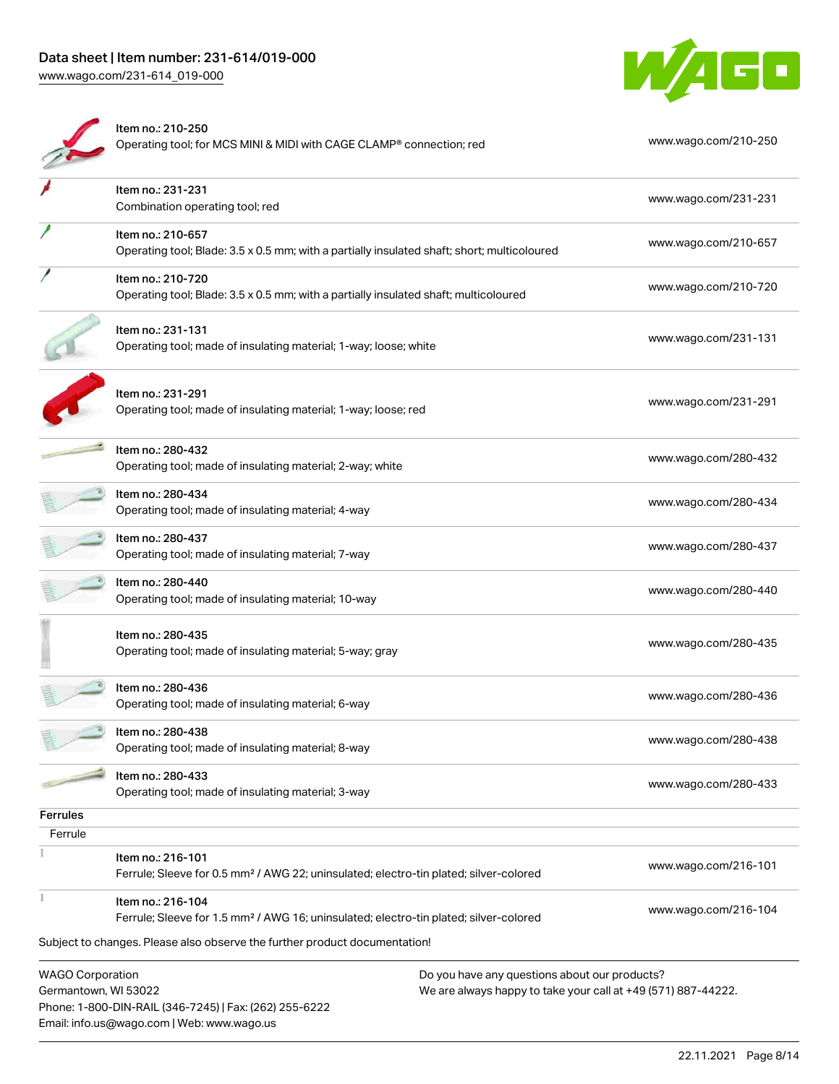

|                                                 | Item no.: 210-250<br>Operating tool; for MCS MINI & MIDI with CAGE CLAMP® connection; red                                                                                                            |                                                                                                                | www.wago.com/210-250 |
|-------------------------------------------------|------------------------------------------------------------------------------------------------------------------------------------------------------------------------------------------------------|----------------------------------------------------------------------------------------------------------------|----------------------|
|                                                 | Item no.: 231-231<br>Combination operating tool; red                                                                                                                                                 |                                                                                                                | www.wago.com/231-231 |
|                                                 | Item no.: 210-657<br>Operating tool; Blade: 3.5 x 0.5 mm; with a partially insulated shaft; short; multicoloured                                                                                     |                                                                                                                | www.wago.com/210-657 |
|                                                 | Item no.: 210-720<br>Operating tool; Blade: 3.5 x 0.5 mm; with a partially insulated shaft; multicoloured                                                                                            |                                                                                                                | www.wago.com/210-720 |
|                                                 | Item no.: 231-131<br>Operating tool; made of insulating material; 1-way; loose; white                                                                                                                |                                                                                                                | www.wago.com/231-131 |
|                                                 | Item no.: 231-291<br>Operating tool; made of insulating material; 1-way; loose; red                                                                                                                  |                                                                                                                | www.wago.com/231-291 |
|                                                 | Item no.: 280-432<br>Operating tool; made of insulating material; 2-way; white                                                                                                                       |                                                                                                                | www.wago.com/280-432 |
|                                                 | Item no.: 280-434<br>Operating tool; made of insulating material; 4-way                                                                                                                              |                                                                                                                | www.wago.com/280-434 |
|                                                 | Item no.: 280-437<br>Operating tool; made of insulating material; 7-way                                                                                                                              |                                                                                                                | www.wago.com/280-437 |
|                                                 | Item no.: 280-440<br>Operating tool; made of insulating material; 10-way                                                                                                                             |                                                                                                                | www.wago.com/280-440 |
|                                                 | Item no.: 280-435<br>Operating tool; made of insulating material; 5-way; gray                                                                                                                        |                                                                                                                | www.wago.com/280-435 |
|                                                 | Item no.: 280-436<br>Operating tool; made of insulating material; 6-way                                                                                                                              |                                                                                                                | www.wago.com/280-436 |
|                                                 | Item no.: 280-438<br>Operating tool; made of insulating material; 8-way                                                                                                                              |                                                                                                                | www.wago.com/280-438 |
|                                                 | Item no.: 280-433<br>Operating tool; made of insulating material; 3-way                                                                                                                              |                                                                                                                | www.wago.com/280-433 |
| <b>Ferrules</b>                                 |                                                                                                                                                                                                      |                                                                                                                |                      |
| Ferrule                                         |                                                                                                                                                                                                      |                                                                                                                |                      |
|                                                 | Item no.: 216-101<br>Ferrule; Sleeve for 0.5 mm <sup>2</sup> / AWG 22; uninsulated; electro-tin plated; silver-colored                                                                               |                                                                                                                | www.wago.com/216-101 |
|                                                 | Item no.: 216-104<br>Ferrule; Sleeve for 1.5 mm <sup>2</sup> / AWG 16; uninsulated; electro-tin plated; silver-colored<br>Subject to changes. Please also observe the further product documentation! |                                                                                                                | www.wago.com/216-104 |
| <b>WAGO Corporation</b><br>Germantown, WI 53022 | Phone: 1-800-DIN-RAIL (346-7245)   Fax: (262) 255-6222<br>Email: info.us@wago.com   Web: www.wago.us                                                                                                 | Do you have any questions about our products?<br>We are always happy to take your call at +49 (571) 887-44222. |                      |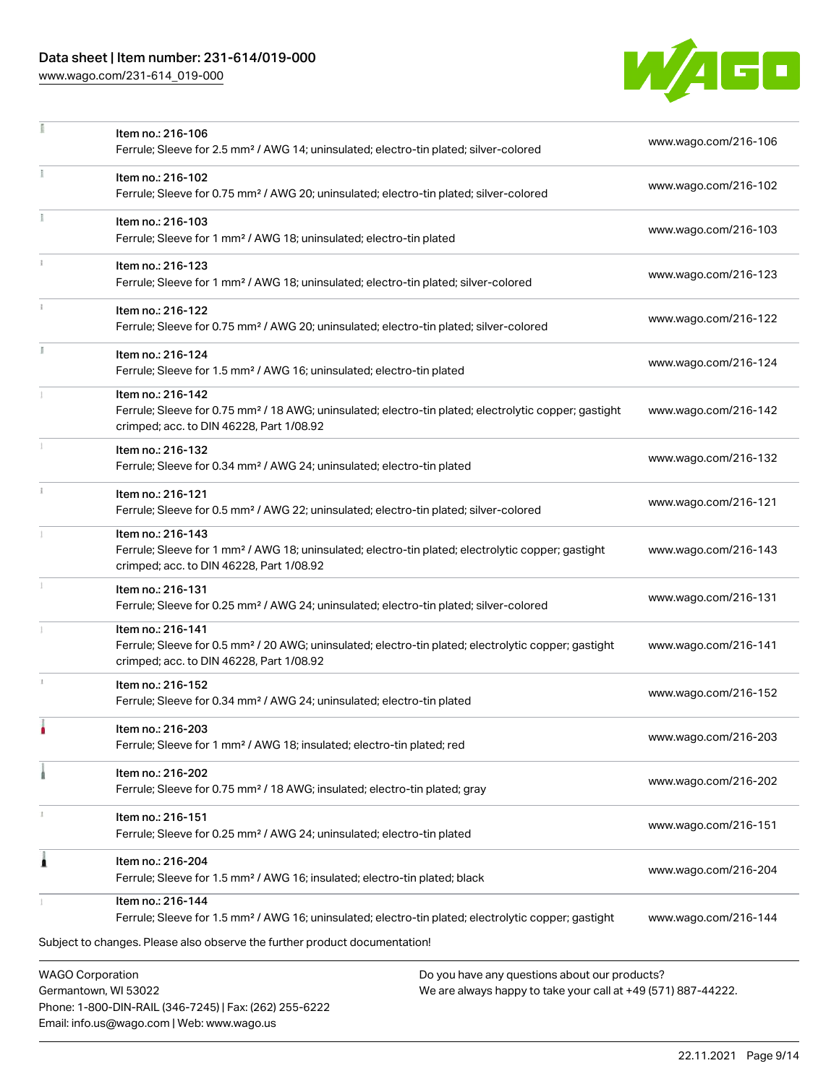# Data sheet | Item number: 231-614/019-000

Phone: 1-800-DIN-RAIL (346-7245) | Fax: (262) 255-6222

Email: info.us@wago.com | Web: www.wago.us

[www.wago.com/231-614\\_019-000](http://www.wago.com/231-614_019-000)

÷,



|    | Item no.: 216-106<br>Ferrule; Sleeve for 2.5 mm <sup>2</sup> / AWG 14; uninsulated; electro-tin plated; silver-colored                                                             |                                                                                                                | www.wago.com/216-106 |
|----|------------------------------------------------------------------------------------------------------------------------------------------------------------------------------------|----------------------------------------------------------------------------------------------------------------|----------------------|
| Ŧ. | Item no.: 216-102<br>Ferrule; Sleeve for 0.75 mm <sup>2</sup> / AWG 20; uninsulated; electro-tin plated; silver-colored                                                            |                                                                                                                | www.wago.com/216-102 |
|    | Item no.: 216-103<br>Ferrule; Sleeve for 1 mm <sup>2</sup> / AWG 18; uninsulated; electro-tin plated                                                                               |                                                                                                                | www.wago.com/216-103 |
|    | Item no.: 216-123<br>Ferrule; Sleeve for 1 mm <sup>2</sup> / AWG 18; uninsulated; electro-tin plated; silver-colored                                                               |                                                                                                                | www.wago.com/216-123 |
|    | Item no.: 216-122<br>Ferrule; Sleeve for 0.75 mm <sup>2</sup> / AWG 20; uninsulated; electro-tin plated; silver-colored                                                            |                                                                                                                | www.wago.com/216-122 |
| J. | Item no.: 216-124<br>Ferrule; Sleeve for 1.5 mm <sup>2</sup> / AWG 16; uninsulated; electro-tin plated                                                                             |                                                                                                                | www.wago.com/216-124 |
|    | Item no.: 216-142<br>Ferrule; Sleeve for 0.75 mm <sup>2</sup> / 18 AWG; uninsulated; electro-tin plated; electrolytic copper; gastight<br>crimped; acc. to DIN 46228, Part 1/08.92 |                                                                                                                | www.wago.com/216-142 |
|    | Item no.: 216-132<br>Ferrule; Sleeve for 0.34 mm <sup>2</sup> / AWG 24; uninsulated; electro-tin plated                                                                            |                                                                                                                | www.wago.com/216-132 |
| ī. | Item no.: 216-121<br>Ferrule; Sleeve for 0.5 mm <sup>2</sup> / AWG 22; uninsulated; electro-tin plated; silver-colored                                                             |                                                                                                                | www.wago.com/216-121 |
|    | Item no.: 216-143<br>Ferrule; Sleeve for 1 mm <sup>2</sup> / AWG 18; uninsulated; electro-tin plated; electrolytic copper; gastight<br>crimped; acc. to DIN 46228, Part 1/08.92    |                                                                                                                | www.wago.com/216-143 |
|    | Item no.: 216-131<br>Ferrule; Sleeve for 0.25 mm <sup>2</sup> / AWG 24; uninsulated; electro-tin plated; silver-colored                                                            |                                                                                                                | www.wago.com/216-131 |
|    | Item no.: 216-141<br>Ferrule; Sleeve for 0.5 mm <sup>2</sup> / 20 AWG; uninsulated; electro-tin plated; electrolytic copper; gastight<br>crimped; acc. to DIN 46228, Part 1/08.92  |                                                                                                                | www.wago.com/216-141 |
| J. | Item no.: 216-152<br>Ferrule; Sleeve for 0.34 mm <sup>2</sup> / AWG 24; uninsulated; electro-tin plated                                                                            |                                                                                                                | www.wago.com/216-152 |
|    | Item no.: 216-203<br>Ferrule; Sleeve for 1 mm <sup>2</sup> / AWG 18; insulated; electro-tin plated; red                                                                            |                                                                                                                | www.wago.com/216-203 |
|    | Item no.: 216-202<br>Ferrule; Sleeve for 0.75 mm <sup>2</sup> / 18 AWG; insulated; electro-tin plated; gray                                                                        |                                                                                                                | www.wago.com/216-202 |
|    | Item no.: 216-151<br>Ferrule; Sleeve for 0.25 mm <sup>2</sup> / AWG 24; uninsulated; electro-tin plated                                                                            |                                                                                                                | www.wago.com/216-151 |
| 1  | Item no.: 216-204<br>Ferrule; Sleeve for 1.5 mm <sup>2</sup> / AWG 16; insulated; electro-tin plated; black                                                                        |                                                                                                                | www.wago.com/216-204 |
|    | Item no.: 216-144<br>Ferrule; Sleeve for 1.5 mm <sup>2</sup> / AWG 16; uninsulated; electro-tin plated; electrolytic copper; gastight                                              |                                                                                                                | www.wago.com/216-144 |
|    | Subject to changes. Please also observe the further product documentation!                                                                                                         |                                                                                                                |                      |
|    | <b>WAGO Corporation</b><br>Germantown, WI 53022                                                                                                                                    | Do you have any questions about our products?<br>We are always happy to take your call at +49 (571) 887-44222. |                      |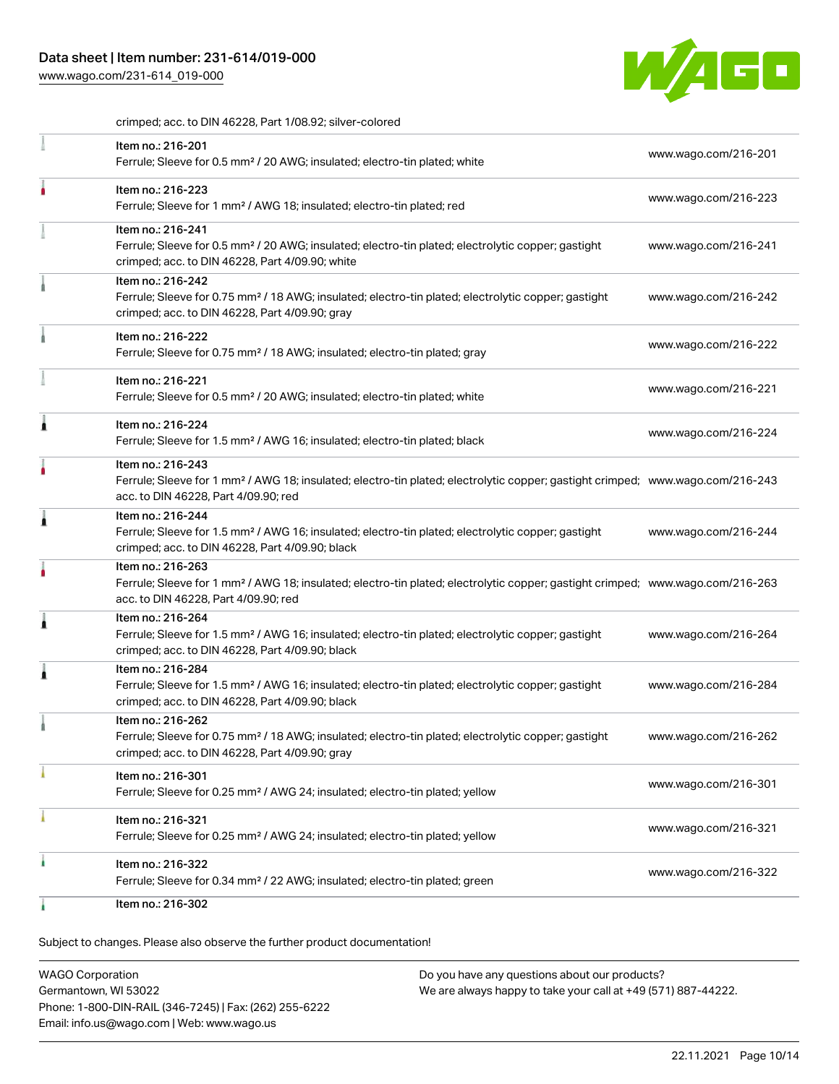[www.wago.com/231-614\\_019-000](http://www.wago.com/231-614_019-000)



crimped; acc. to DIN 46228, Part 1/08.92; silver-colored

| Item no.: 216-201<br>Ferrule; Sleeve for 0.5 mm <sup>2</sup> / 20 AWG; insulated; electro-tin plated; white                                                                                             | www.wago.com/216-201 |
|---------------------------------------------------------------------------------------------------------------------------------------------------------------------------------------------------------|----------------------|
| Item no.: 216-223<br>Ferrule; Sleeve for 1 mm <sup>2</sup> / AWG 18; insulated; electro-tin plated; red                                                                                                 | www.wago.com/216-223 |
| Item no.: 216-241<br>Ferrule; Sleeve for 0.5 mm <sup>2</sup> / 20 AWG; insulated; electro-tin plated; electrolytic copper; gastight<br>crimped; acc. to DIN 46228, Part 4/09.90; white                  | www.wago.com/216-241 |
| Item no.: 216-242<br>Ferrule; Sleeve for 0.75 mm <sup>2</sup> / 18 AWG; insulated; electro-tin plated; electrolytic copper; gastight<br>crimped; acc. to DIN 46228, Part 4/09.90; gray                  | www.wago.com/216-242 |
| Item no.: 216-222<br>Ferrule; Sleeve for 0.75 mm <sup>2</sup> / 18 AWG; insulated; electro-tin plated; gray                                                                                             | www.wago.com/216-222 |
| Item no.: 216-221<br>Ferrule; Sleeve for 0.5 mm <sup>2</sup> / 20 AWG; insulated; electro-tin plated; white                                                                                             | www.wago.com/216-221 |
| Item no.: 216-224<br>Ferrule; Sleeve for 1.5 mm <sup>2</sup> / AWG 16; insulated; electro-tin plated; black                                                                                             | www.wago.com/216-224 |
| Item no.: 216-243<br>Ferrule; Sleeve for 1 mm <sup>2</sup> / AWG 18; insulated; electro-tin plated; electrolytic copper; gastight crimped; www.wago.com/216-243<br>acc. to DIN 46228, Part 4/09.90; red |                      |
| Item no.: 216-244<br>Ferrule; Sleeve for 1.5 mm <sup>2</sup> / AWG 16; insulated; electro-tin plated; electrolytic copper; gastight<br>crimped; acc. to DIN 46228, Part 4/09.90; black                  | www.wago.com/216-244 |
| Item no.: 216-263<br>Ferrule; Sleeve for 1 mm <sup>2</sup> / AWG 18; insulated; electro-tin plated; electrolytic copper; gastight crimped; www.wago.com/216-263<br>acc. to DIN 46228, Part 4/09.90; red |                      |
| Item no.: 216-264<br>Ferrule; Sleeve for 1.5 mm <sup>2</sup> / AWG 16; insulated; electro-tin plated; electrolytic copper; gastight<br>crimped; acc. to DIN 46228, Part 4/09.90; black                  | www.wago.com/216-264 |
| Item no.: 216-284<br>Ferrule; Sleeve for 1.5 mm <sup>2</sup> / AWG 16; insulated; electro-tin plated; electrolytic copper; gastight<br>crimped; acc. to DIN 46228, Part 4/09.90; black                  | www.wago.com/216-284 |
| Item no.: 216-262<br>Ferrule; Sleeve for 0.75 mm <sup>2</sup> / 18 AWG; insulated; electro-tin plated; electrolytic copper; gastight<br>crimped; acc. to DIN 46228, Part 4/09.90; gray                  | www.wago.com/216-262 |
| Item no.: 216-301<br>Ferrule; Sleeve for 0.25 mm <sup>2</sup> / AWG 24; insulated; electro-tin plated; yellow                                                                                           | www.wago.com/216-301 |
| Item no.: 216-321<br>Ferrule; Sleeve for 0.25 mm <sup>2</sup> / AWG 24; insulated; electro-tin plated; yellow                                                                                           | www.wago.com/216-321 |
| Item no.: 216-322<br>Ferrule; Sleeve for 0.34 mm <sup>2</sup> / 22 AWG; insulated; electro-tin plated; green                                                                                            | www.wago.com/216-322 |
| Item no.: 216-302                                                                                                                                                                                       |                      |

Subject to changes. Please also observe the further product documentation!

WAGO Corporation Germantown, WI 53022 Phone: 1-800-DIN-RAIL (346-7245) | Fax: (262) 255-6222 Email: info.us@wago.com | Web: www.wago.us Do you have any questions about our products? We are always happy to take your call at +49 (571) 887-44222.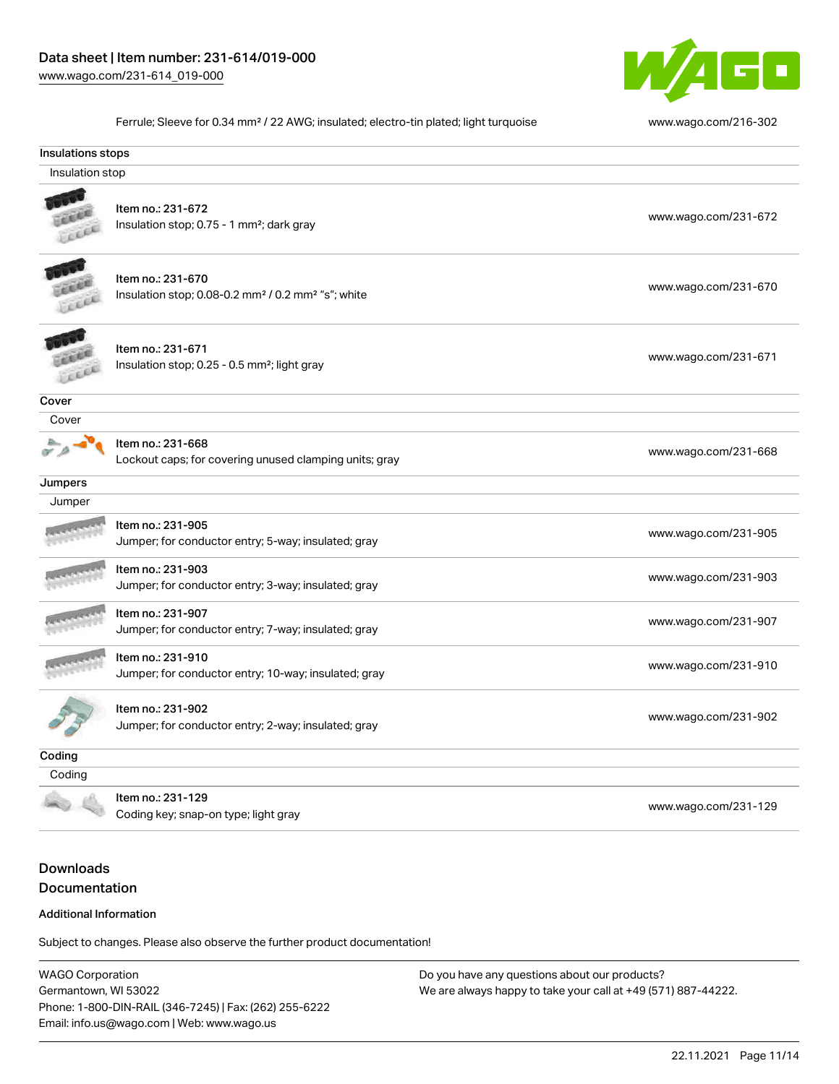

Ferrule; Sleeve for 0.34 mm² / 22 AWG; insulated; electro-tin plated; light turquoise [www.wago.com/216-302](http://www.wago.com/216-302)

| Insulations stops |                                                                                                 |                      |
|-------------------|-------------------------------------------------------------------------------------------------|----------------------|
| Insulation stop   |                                                                                                 |                      |
|                   | Item no.: 231-672<br>Insulation stop; 0.75 - 1 mm <sup>2</sup> ; dark gray                      | www.wago.com/231-672 |
|                   | Item no.: 231-670<br>Insulation stop; 0.08-0.2 mm <sup>2</sup> / 0.2 mm <sup>2</sup> "s"; white | www.wago.com/231-670 |
|                   | Item no.: 231-671<br>Insulation stop; 0.25 - 0.5 mm <sup>2</sup> ; light gray                   | www.wago.com/231-671 |
| Cover             |                                                                                                 |                      |
| Cover             |                                                                                                 |                      |
|                   | Item no.: 231-668<br>Lockout caps; for covering unused clamping units; gray                     | www.wago.com/231-668 |
| Jumpers           |                                                                                                 |                      |
| Jumper            |                                                                                                 |                      |
|                   | Item no.: 231-905<br>Jumper; for conductor entry; 5-way; insulated; gray                        | www.wago.com/231-905 |
|                   | Item no.: 231-903<br>Jumper; for conductor entry; 3-way; insulated; gray                        | www.wago.com/231-903 |
|                   | Item no.: 231-907<br>Jumper; for conductor entry; 7-way; insulated; gray                        | www.wago.com/231-907 |
|                   | Item no.: 231-910<br>Jumper; for conductor entry; 10-way; insulated; gray                       | www.wago.com/231-910 |
|                   | Item no.: 231-902<br>Jumper; for conductor entry; 2-way; insulated; gray                        | www.wago.com/231-902 |
| Coding            |                                                                                                 |                      |
| Coding            |                                                                                                 |                      |
|                   | Item no.: 231-129                                                                               |                      |

ntem no... 231-129<br>Coding key; snap-on type; light gray [www.wago.com/231-129](http://www.wago.com/231-129)

# Downloads Documentation

#### Additional Information

Subject to changes. Please also observe the further product documentation!

WAGO Corporation Germantown, WI 53022 Phone: 1-800-DIN-RAIL (346-7245) | Fax: (262) 255-6222 Email: info.us@wago.com | Web: www.wago.us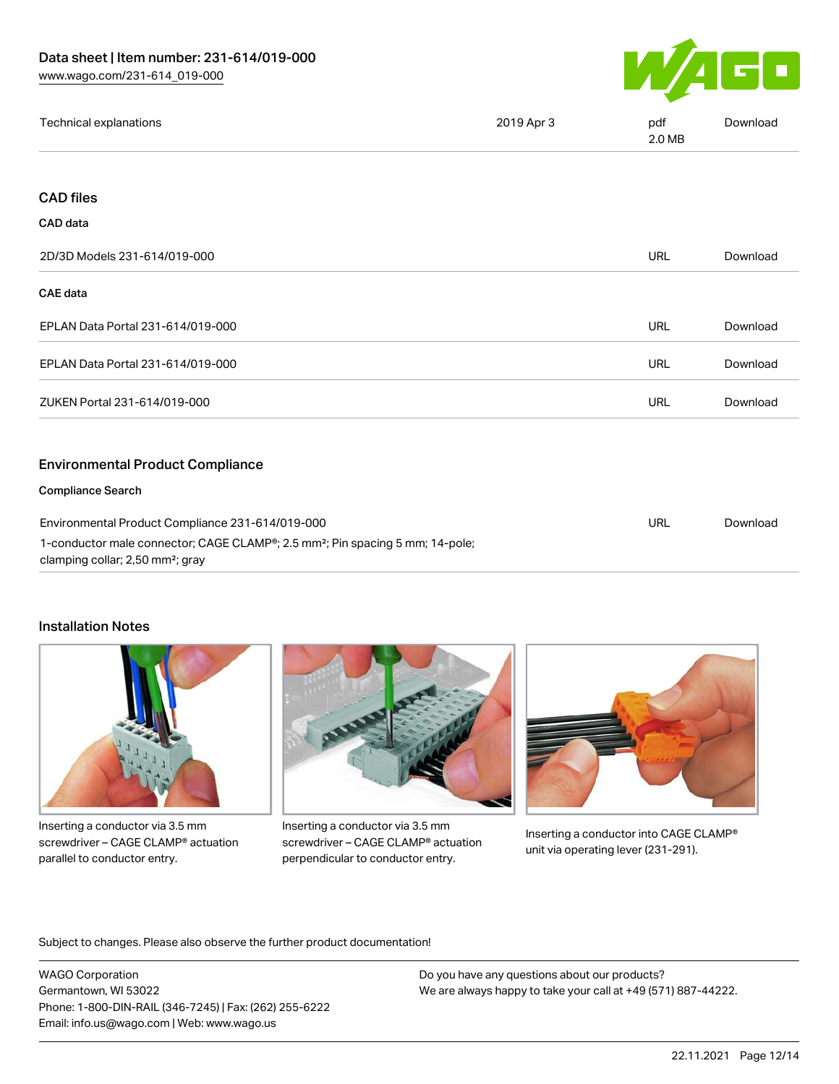

| Technical explanations | 2019 Apr 3 | pdf<br>2.0 MB | Download |
|------------------------|------------|---------------|----------|
|                        |            |               |          |

# CAD files

| 2D/3D Models 231-614/019-000                                                                                                                                                                               |            | Download |
|------------------------------------------------------------------------------------------------------------------------------------------------------------------------------------------------------------|------------|----------|
| <b>CAE data</b>                                                                                                                                                                                            |            |          |
| EPLAN Data Portal 231-614/019-000                                                                                                                                                                          | URL        | Download |
| EPLAN Data Portal 231-614/019-000                                                                                                                                                                          | <b>URL</b> | Download |
| ZUKEN Portal 231-614/019-000                                                                                                                                                                               | <b>URL</b> | Download |
| <b>Environmental Product Compliance</b>                                                                                                                                                                    |            |          |
| <b>Compliance Search</b>                                                                                                                                                                                   |            |          |
| Environmental Product Compliance 231-614/019-000<br>1-conductor male connector; CAGE CLAMP <sup>®</sup> ; 2.5 mm <sup>2</sup> ; Pin spacing 5 mm; 14-pole;<br>clamping collar; 2,50 mm <sup>2</sup> ; gray |            | Download |

### Installation Notes



Inserting a conductor via 3.5 mm screwdriver – CAGE CLAMP® actuation parallel to conductor entry.



Inserting a conductor via 3.5 mm screwdriver – CAGE CLAMP® actuation perpendicular to conductor entry.



Inserting a conductor into CAGE CLAMP® unit via operating lever (231-291).

Subject to changes. Please also observe the further product documentation!

WAGO Corporation Germantown, WI 53022 Phone: 1-800-DIN-RAIL (346-7245) | Fax: (262) 255-6222 Email: info.us@wago.com | Web: www.wago.us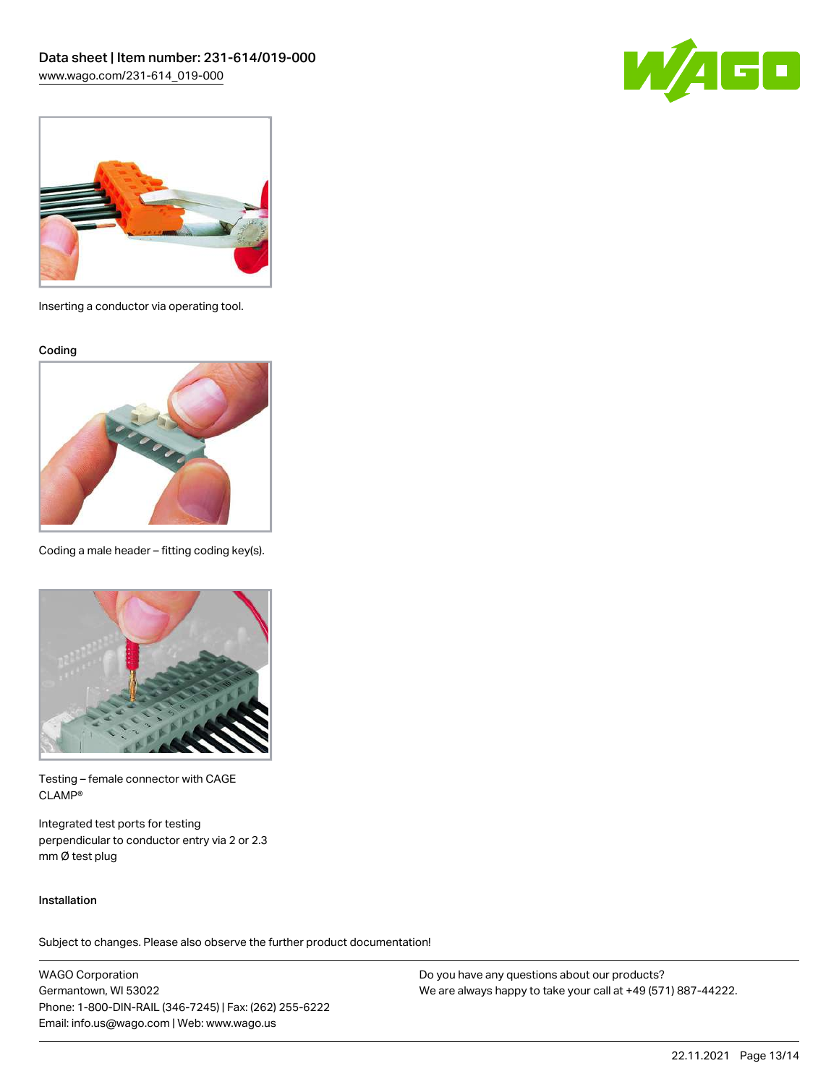



Inserting a conductor via operating tool.

Coding



Coding a male header – fitting coding key(s).



Testing – female connector with CAGE CLAMP®

Integrated test ports for testing perpendicular to conductor entry via 2 or 2.3 mm Ø test plug

#### Installation

Subject to changes. Please also observe the further product documentation!

WAGO Corporation Germantown, WI 53022 Phone: 1-800-DIN-RAIL (346-7245) | Fax: (262) 255-6222 Email: info.us@wago.com | Web: www.wago.us